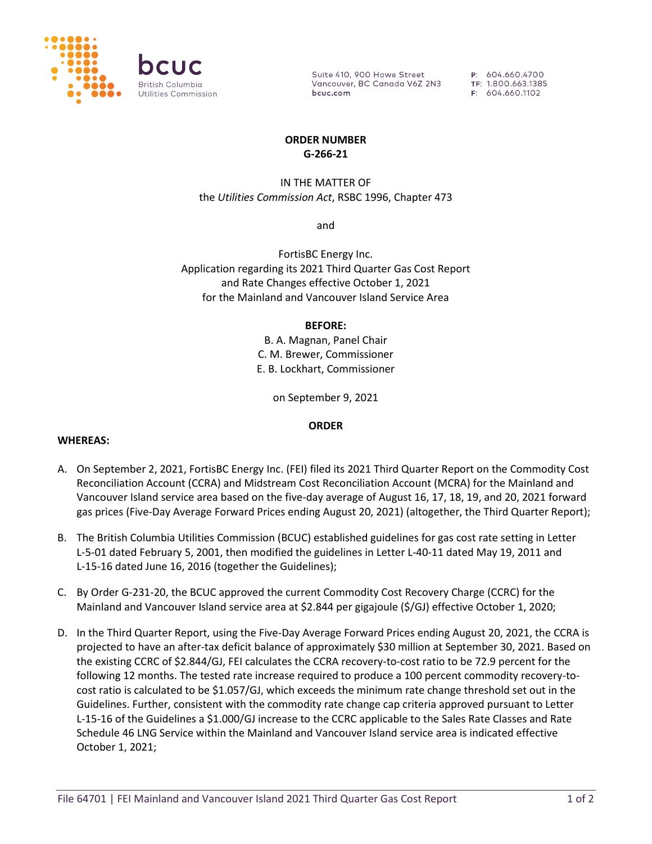

Suite 410, 900 Howe Street Vancouver, BC Canada V6Z 2N3 bcuc.com

P: 604.660.4700 TF: 1.800.663.1385 F: 604.660.1102

### **ORDER NUMBER G-266-21**

# IN THE MATTER OF the *Utilities Commission Act*, RSBC 1996, Chapter 473

and

FortisBC Energy Inc. Application regarding its 2021 Third Quarter Gas Cost Report and Rate Changes effective October 1, 2021 for the Mainland and Vancouver Island Service Area

### **BEFORE:**

B. A. Magnan, Panel Chair C. M. Brewer, Commissioner E. B. Lockhart, Commissioner

on September 9, 2021

## **ORDER**

### **WHEREAS:**

- A. On September 2, 2021, FortisBC Energy Inc. (FEI) filed its 2021 Third Quarter Report on the Commodity Cost Reconciliation Account (CCRA) and Midstream Cost Reconciliation Account (MCRA) for the Mainland and Vancouver Island service area based on the five-day average of August 16, 17, 18, 19, and 20, 2021 forward gas prices (Five-Day Average Forward Prices ending August 20, 2021) (altogether, the Third Quarter Report);
- B. The British Columbia Utilities Commission (BCUC) established guidelines for gas cost rate setting in Letter L-5-01 dated February 5, 2001, then modified the guidelines in Letter L-40-11 dated May 19, 2011 and L-15-16 dated June 16, 2016 (together the Guidelines);
- C. By Order G-231-20, the BCUC approved the current Commodity Cost Recovery Charge (CCRC) for the Mainland and Vancouver Island service area at \$2.844 per gigajoule (\$/GJ) effective October 1, 2020;
- D. In the Third Quarter Report, using the Five-Day Average Forward Prices ending August 20, 2021, the CCRA is projected to have an after-tax deficit balance of approximately \$30 million at September 30, 2021. Based on the existing CCRC of \$2.844/GJ, FEI calculates the CCRA recovery-to-cost ratio to be 72.9 percent for the following 12 months. The tested rate increase required to produce a 100 percent commodity recovery-tocost ratio is calculated to be \$1.057/GJ, which exceeds the minimum rate change threshold set out in the Guidelines. Further, consistent with the commodity rate change cap criteria approved pursuant to Letter L-15-16 of the Guidelines a \$1.000/GJ increase to the CCRC applicable to the Sales Rate Classes and Rate Schedule 46 LNG Service within the Mainland and Vancouver Island service area is indicated effective October 1, 2021;